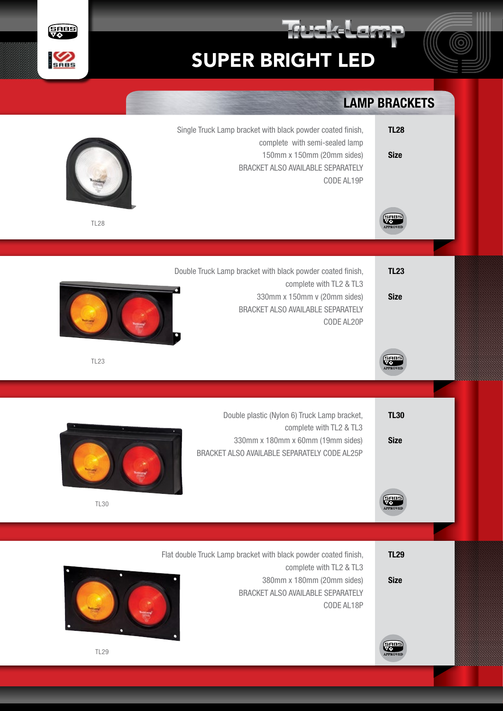

TL29

Size

Flat double Truck Lamp bracket with black powder coated finish, complete with TL2 & TL3 380mm x 180mm (20mm sides) BRACKET ALSO AVAILABLE SEPARATELY CODE AL18P





TL29

**SHBS** 

 $\gamma$